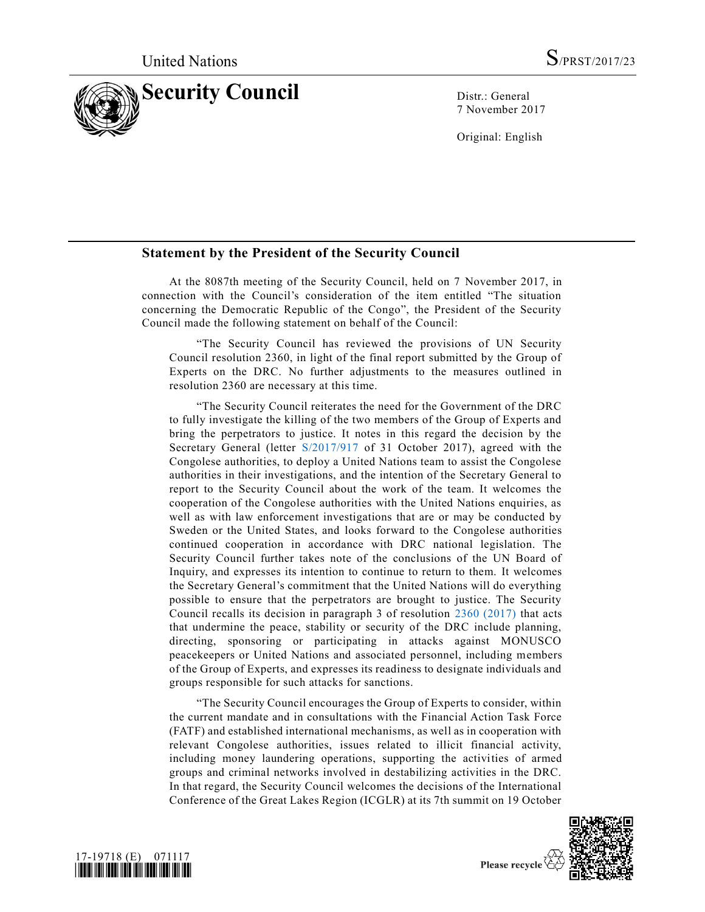

7 November 2017

Original: English

## **Statement by the President of the Security Council**

At the 8087th meeting of the Security Council, held on 7 November 2017, in connection with the Council's consideration of the item entitled "The situation concerning the Democratic Republic of the Congo", the President of the Security Council made the following statement on behalf of the Council:

"The Security Council has reviewed the provisions of UN Security Council resolution 2360, in light of the final report submitted by the Group of Experts on the DRC. No further adjustments to the measures outlined in resolution 2360 are necessary at this time.

"The Security Council reiterates the need for the Government of the DRC to fully investigate the killing of the two members of the Group of Experts and bring the perpetrators to justice. It notes in this regard the decision by the Secretary General (letter [S/2017/917](https://undocs.org/S/2017/917) of 31 October 2017), agreed with the Congolese authorities, to deploy a United Nations team to assist the Congolese authorities in their investigations, and the intention of the Secretary General to report to the Security Council about the work of the team. It welcomes the cooperation of the Congolese authorities with the United Nations enquiries, as well as with law enforcement investigations that are or may be conducted by Sweden or the United States, and looks forward to the Congolese authorities continued cooperation in accordance with DRC national legislation. The Security Council further takes note of the conclusions of the UN Board of Inquiry, and expresses its intention to continue to return to them. It welcomes the Secretary General's commitment that the United Nations will do everything possible to ensure that the perpetrators are brought to justice. The Security Council recalls its decision in paragraph 3 of resolution [2360 \(2017\)](https://undocs.org/S/RES/2360(2017)) that acts that undermine the peace, stability or security of the DRC include planning, directing, sponsoring or participating in attacks against MONUSCO peacekeepers or United Nations and associated personnel, including members of the Group of Experts, and expresses its readiness to designate individuals and groups responsible for such attacks for sanctions.

"The Security Council encourages the Group of Experts to consider, within the current mandate and in consultations with the Financial Action Task Force (FATF) and established international mechanisms, as well as in cooperation with relevant Congolese authorities, issues related to illicit financial activity, including money laundering operations, supporting the activities of armed groups and criminal networks involved in destabilizing activities in the DRC. In that regard, the Security Council welcomes the decisions of the International Conference of the Great Lakes Region (ICGLR) at its 7th summit on 19 October